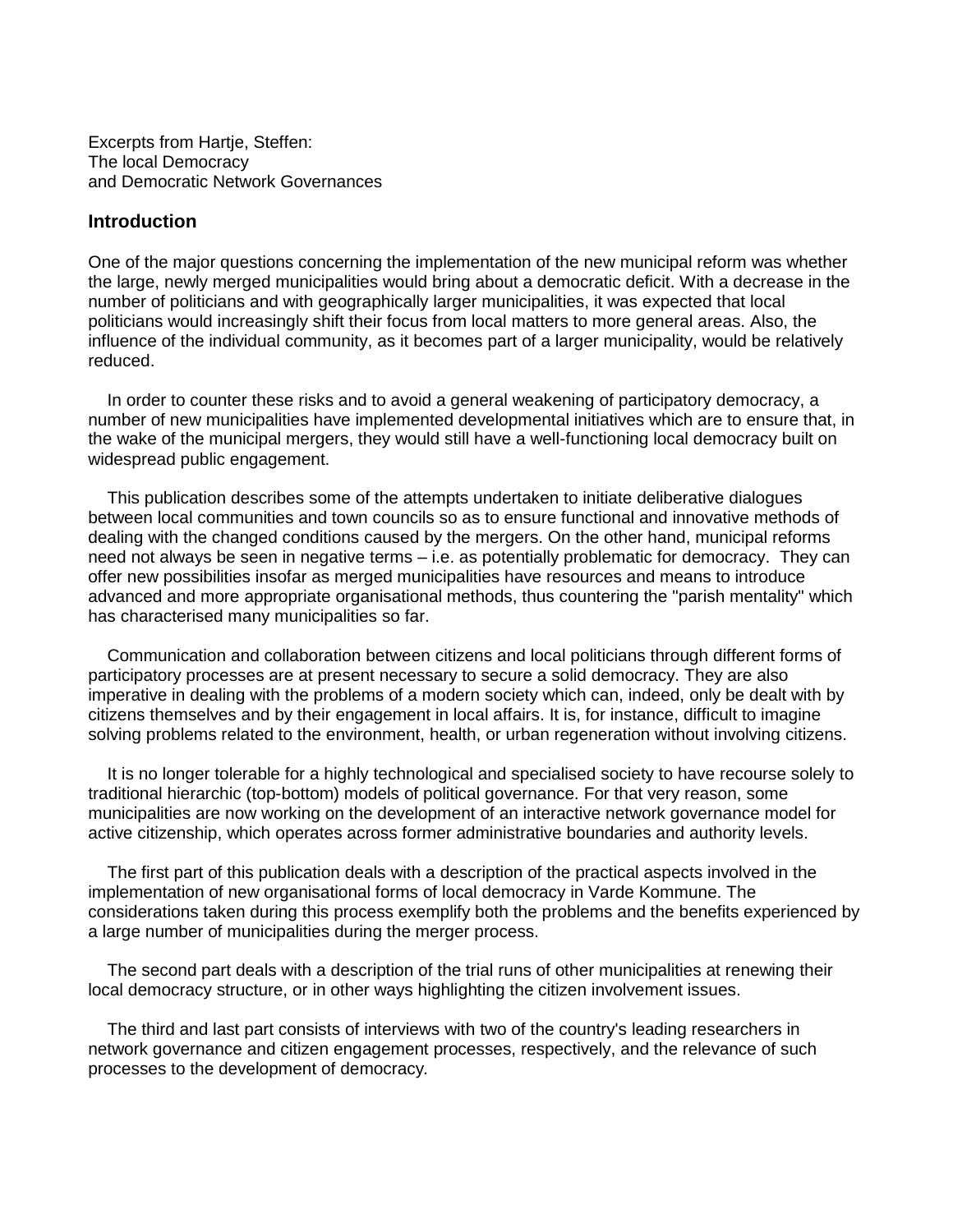Excerpts from Hartje, Steffen: The local Democracy and Democratic Network Governances

# **Introduction**

One of the major questions concerning the implementation of the new municipal reform was whether the large, newly merged municipalities would bring about a democratic deficit. With a decrease in the number of politicians and with geographically larger municipalities, it was expected that local politicians would increasingly shift their focus from local matters to more general areas. Also, the influence of the individual community, as it becomes part of a larger municipality, would be relatively reduced.

 In order to counter these risks and to avoid a general weakening of participatory democracy, a number of new municipalities have implemented developmental initiatives which are to ensure that, in the wake of the municipal mergers, they would still have a well-functioning local democracy built on widespread public engagement.

 This publication describes some of the attempts undertaken to initiate deliberative dialogues between local communities and town councils so as to ensure functional and innovative methods of dealing with the changed conditions caused by the mergers. On the other hand, municipal reforms need not always be seen in negative terms – i.e. as potentially problematic for democracy. They can offer new possibilities insofar as merged municipalities have resources and means to introduce advanced and more appropriate organisational methods, thus countering the "parish mentality" which has characterised many municipalities so far.

 Communication and collaboration between citizens and local politicians through different forms of participatory processes are at present necessary to secure a solid democracy. They are also imperative in dealing with the problems of a modern society which can, indeed, only be dealt with by citizens themselves and by their engagement in local affairs. It is, for instance, difficult to imagine solving problems related to the environment, health, or urban regeneration without involving citizens.

 It is no longer tolerable for a highly technological and specialised society to have recourse solely to traditional hierarchic (top-bottom) models of political governance. For that very reason, some municipalities are now working on the development of an interactive network governance model for active citizenship, which operates across former administrative boundaries and authority levels.

 The first part of this publication deals with a description of the practical aspects involved in the implementation of new organisational forms of local democracy in Varde Kommune. The considerations taken during this process exemplify both the problems and the benefits experienced by a large number of municipalities during the merger process.

 The second part deals with a description of the trial runs of other municipalities at renewing their local democracy structure, or in other ways highlighting the citizen involvement issues.

 The third and last part consists of interviews with two of the country's leading researchers in network governance and citizen engagement processes, respectively, and the relevance of such processes to the development of democracy*.*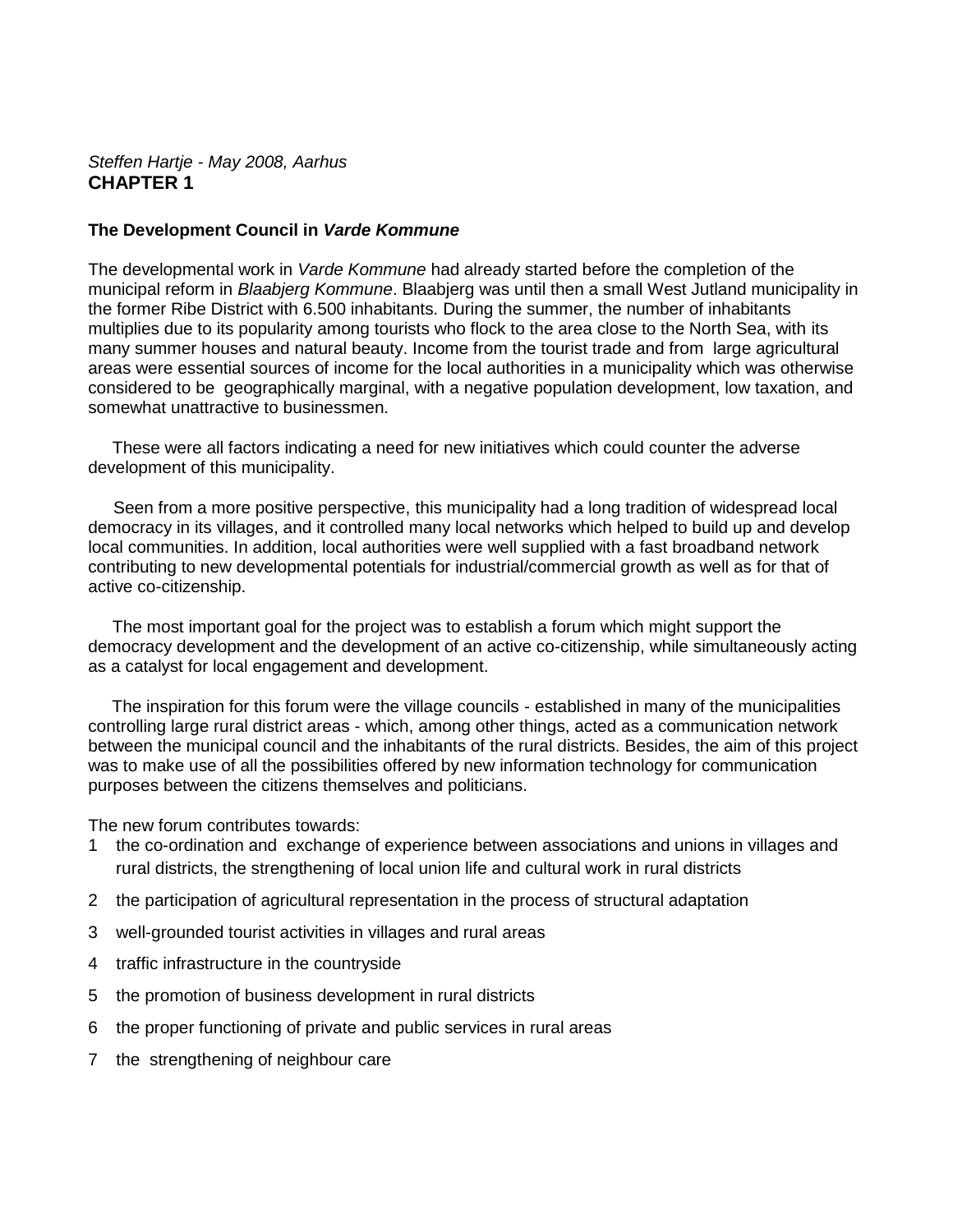# *Steffen Hartje - May 2008, Aarhus* **CHAPTER 1**

## **The Development Council in** *Varde Kommune*

The developmental work in *Varde Kommune* had already started before the completion of the municipal reform in *Blaabjerg Kommune*. Blaabjerg was until then a small West Jutland municipality in the former Ribe District with 6.500 inhabitants. During the summer, the number of inhabitants multiplies due to its popularity among tourists who flock to the area close to the North Sea, with its many summer houses and natural beauty. Income from the tourist trade and from large agricultural areas were essential sources of income for the local authorities in a municipality which was otherwise considered to be geographically marginal, with a negative population development, low taxation, and somewhat unattractive to businessmen.

These were all factors indicating a need for new initiatives which could counter the adverse development of this municipality.

Seen from a more positive perspective, this municipality had a long tradition of widespread local democracy in its villages, and it controlled many local networks which helped to build up and develop local communities. In addition, local authorities were well supplied with a fast broadband network contributing to new developmental potentials for industrial/commercial growth as well as for that of active co-citizenship.

The most important goal for the project was to establish a forum which might support the democracy development and the development of an active co-citizenship, while simultaneously acting as a catalyst for local engagement and development.

The inspiration for this forum were the village councils - established in many of the municipalities controlling large rural district areas - which, among other things, acted as a communication network between the municipal council and the inhabitants of the rural districts. Besides, the aim of this project was to make use of all the possibilities offered by new information technology for communication purposes between the citizens themselves and politicians.

The new forum contributes towards:

- 1 the co-ordination and exchange of experience between associations and unions in villages and rural districts, the strengthening of local union life and cultural work in rural districts
- 2 the participation of agricultural representation in the process of structural adaptation
- 3 well-grounded tourist activities in villages and rural areas
- 4 traffic infrastructure in the countryside
- 5 the promotion of business development in rural districts
- 6 the proper functioning of private and public services in rural areas
- 7 the strengthening of neighbour care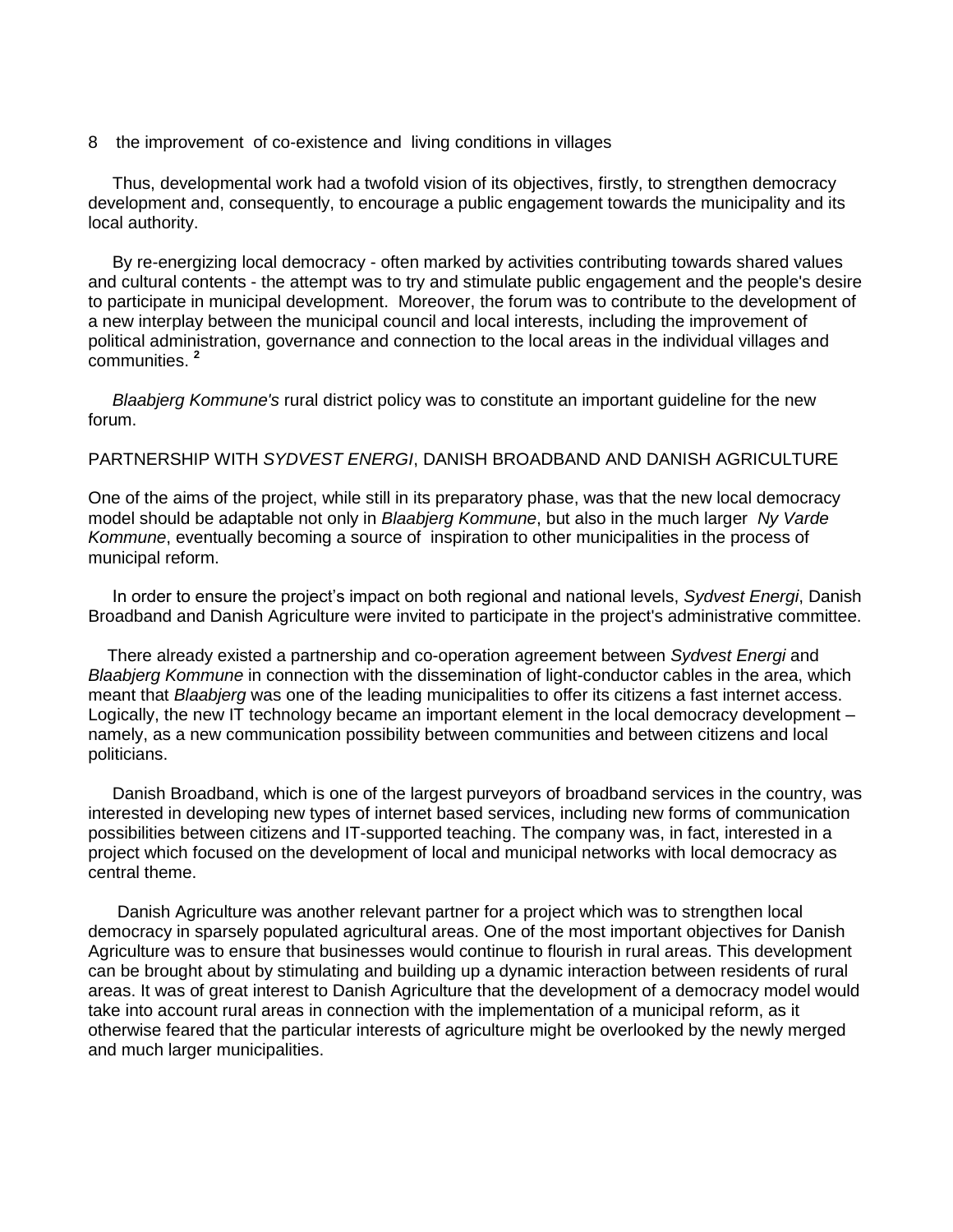8 the improvement of co-existence and living conditions in villages

Thus, developmental work had a twofold vision of its objectives, firstly, to strengthen democracy development and, consequently, to encourage a public engagement towards the municipality and its local authority.

By re-energizing local democracy - often marked by activities contributing towards shared values and cultural contents - the attempt was to try and stimulate public engagement and the people's desire to participate in municipal development. Moreover, the forum was to contribute to the development of a new interplay between the municipal council and local interests, including the improvement of political administration, governance and connection to the local areas in the individual villages and communities. **<sup>2</sup>**

*Blaabjerg Kommune's* rural district policy was to constitute an important guideline for the new forum.

#### PARTNERSHIP WITH *SYDVEST ENERGI*, DANISH BROADBAND AND DANISH AGRICULTURE

One of the aims of the project, while still in its preparatory phase, was that the new local democracy model should be adaptable not only in *Blaabjerg Kommune*, but also in the much larger *Ny Varde Kommune*, eventually becoming a source of inspiration to other municipalities in the process of municipal reform.

In order to ensure the project's impact on both regional and national levels, *Sydvest Energi*, Danish Broadband and Danish Agriculture were invited to participate in the project's administrative committee.

 There already existed a partnership and co-operation agreement between *Sydvest Energi* and *Blaabjerg Kommune* in connection with the dissemination of light-conductor cables in the area, which meant that *Blaabjerg* was one of the leading municipalities to offer its citizens a fast internet access. Logically, the new IT technology became an important element in the local democracy development – namely, as a new communication possibility between communities and between citizens and local politicians.

Danish Broadband, which is one of the largest purveyors of broadband services in the country, was interested in developing new types of internet based services, including new forms of communication possibilities between citizens and IT-supported teaching. The company was, in fact, interested in a project which focused on the development of local and municipal networks with local democracy as central theme.

Danish Agriculture was another relevant partner for a project which was to strengthen local democracy in sparsely populated agricultural areas. One of the most important objectives for Danish Agriculture was to ensure that businesses would continue to flourish in rural areas. This development can be brought about by stimulating and building up a dynamic interaction between residents of rural areas. It was of great interest to Danish Agriculture that the development of a democracy model would take into account rural areas in connection with the implementation of a municipal reform, as it otherwise feared that the particular interests of agriculture might be overlooked by the newly merged and much larger municipalities.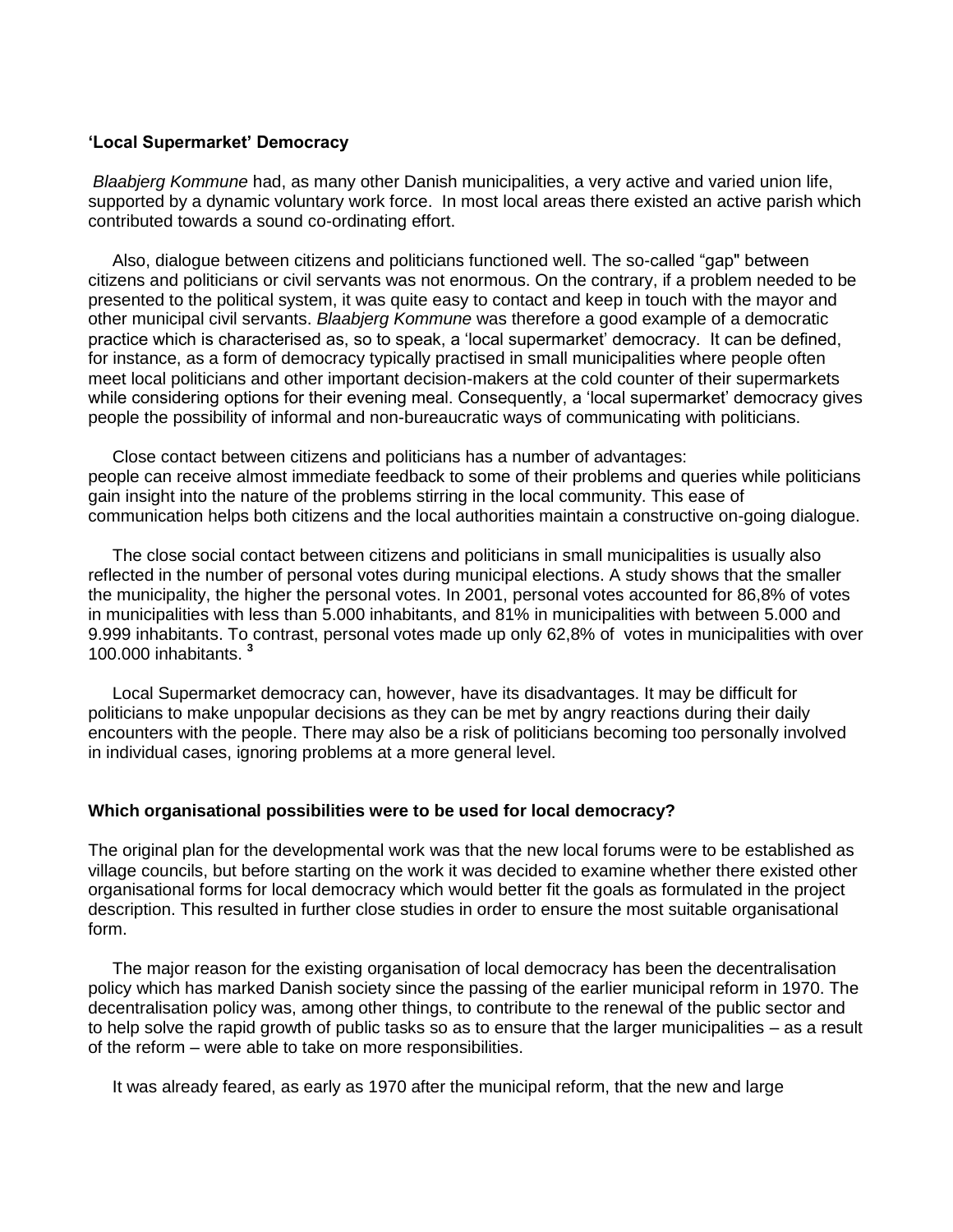#### **'Local Supermarket' Democracy**

*Blaabjerg Kommune* had, as many other Danish municipalities, a very active and varied union life, supported by a dynamic voluntary work force. In most local areas there existed an active parish which contributed towards a sound co-ordinating effort.

Also, dialogue between citizens and politicians functioned well. The so-called "gap" between citizens and politicians or civil servants was not enormous. On the contrary, if a problem needed to be presented to the political system, it was quite easy to contact and keep in touch with the mayor and other municipal civil servants. *Blaabjerg Kommune* was therefore a good example of a democratic practice which is characterised as, so to speak, a 'local supermarket' democracy. It can be defined, for instance, as a form of democracy typically practised in small municipalities where people often meet local politicians and other important decision-makers at the cold counter of their supermarkets while considering options for their evening meal. Consequently, a 'local supermarket' democracy gives people the possibility of informal and non-bureaucratic ways of communicating with politicians.

Close contact between citizens and politicians has a number of advantages: people can receive almost immediate feedback to some of their problems and queries while politicians gain insight into the nature of the problems stirring in the local community. This ease of communication helps both citizens and the local authorities maintain a constructive on-going dialogue.

The close social contact between citizens and politicians in small municipalities is usually also reflected in the number of personal votes during municipal elections. A study shows that the smaller the municipality, the higher the personal votes. In 2001, personal votes accounted for 86,8% of votes in municipalities with less than 5.000 inhabitants, and 81% in municipalities with between 5.000 and 9.999 inhabitants. To contrast, personal votes made up only 62,8% of votes in municipalities with over 100.000 inhabitants. **<sup>3</sup>**

Local Supermarket democracy can, however, have its disadvantages. It may be difficult for politicians to make unpopular decisions as they can be met by angry reactions during their daily encounters with the people. There may also be a risk of politicians becoming too personally involved in individual cases, ignoring problems at a more general level.

#### **Which organisational possibilities were to be used for local democracy?**

The original plan for the developmental work was that the new local forums were to be established as village councils, but before starting on the work it was decided to examine whether there existed other organisational forms for local democracy which would better fit the goals as formulated in the project description. This resulted in further close studies in order to ensure the most suitable organisational form.

The major reason for the existing organisation of local democracy has been the decentralisation policy which has marked Danish society since the passing of the earlier municipal reform in 1970. The decentralisation policy was, among other things, to contribute to the renewal of the public sector and to help solve the rapid growth of public tasks so as to ensure that the larger municipalities – as a result of the reform – were able to take on more responsibilities.

It was already feared, as early as 1970 after the municipal reform, that the new and large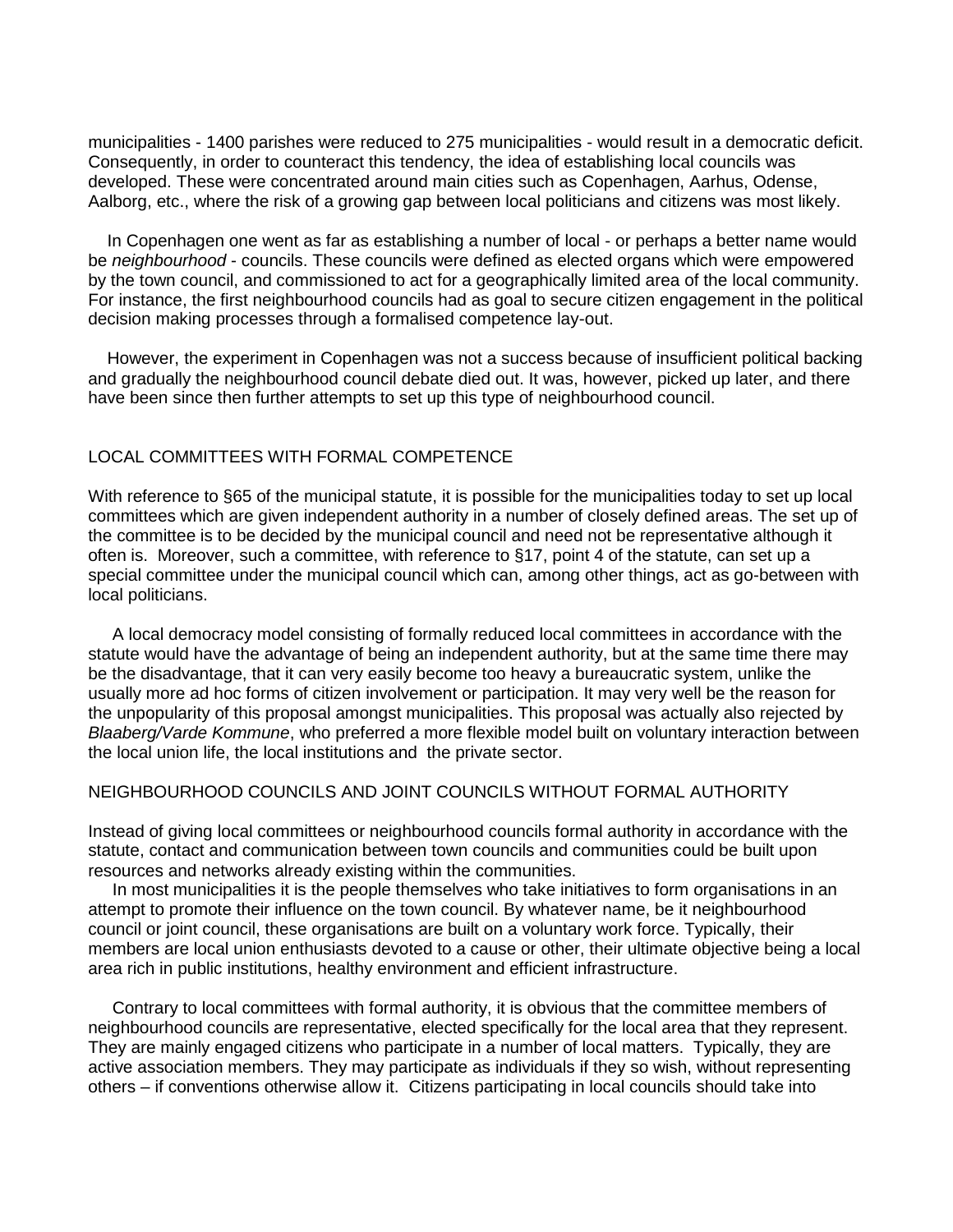municipalities - 1400 parishes were reduced to 275 municipalities - would result in a democratic deficit. Consequently, in order to counteract this tendency, the idea of establishing local councils was developed. These were concentrated around main cities such as Copenhagen, Aarhus, Odense, Aalborg, etc., where the risk of a growing gap between local politicians and citizens was most likely.

 In Copenhagen one went as far as establishing a number of local - or perhaps a better name would be *neighbourhood* - councils. These councils were defined as elected organs which were empowered by the town council, and commissioned to act for a geographically limited area of the local community. For instance, the first neighbourhood councils had as goal to secure citizen engagement in the political decision making processes through a formalised competence lay-out.

 However, the experiment in Copenhagen was not a success because of insufficient political backing and gradually the neighbourhood council debate died out. It was, however, picked up later, and there have been since then further attempts to set up this type of neighbourhood council.

### LOCAL COMMITTEES WITH FORMAL COMPETENCE

With reference to §65 of the municipal statute, it is possible for the municipalities today to set up local committees which are given independent authority in a number of closely defined areas. The set up of the committee is to be decided by the municipal council and need not be representative although it often is. Moreover, such a committee, with reference to §17, point 4 of the statute, can set up a special committee under the municipal council which can, among other things, act as go-between with local politicians.

A local democracy model consisting of formally reduced local committees in accordance with the statute would have the advantage of being an independent authority, but at the same time there may be the disadvantage, that it can very easily become too heavy a bureaucratic system, unlike the usually more ad hoc forms of citizen involvement or participation. It may very well be the reason for the unpopularity of this proposal amongst municipalities. This proposal was actually also rejected by *Blaaberg/Varde Kommune*, who preferred a more flexible model built on voluntary interaction between the local union life, the local institutions and the private sector.

### NEIGHBOURHOOD COUNCILS AND JOINT COUNCILS WITHOUT FORMAL AUTHORITY

Instead of giving local committees or neighbourhood councils formal authority in accordance with the statute, contact and communication between town councils and communities could be built upon resources and networks already existing within the communities.

In most municipalities it is the people themselves who take initiatives to form organisations in an attempt to promote their influence on the town council. By whatever name, be it neighbourhood council or joint council, these organisations are built on a voluntary work force. Typically, their members are local union enthusiasts devoted to a cause or other, their ultimate objective being a local area rich in public institutions, healthy environment and efficient infrastructure.

Contrary to local committees with formal authority, it is obvious that the committee members of neighbourhood councils are representative, elected specifically for the local area that they represent. They are mainly engaged citizens who participate in a number of local matters. Typically, they are active association members. They may participate as individuals if they so wish, without representing others – if conventions otherwise allow it. Citizens participating in local councils should take into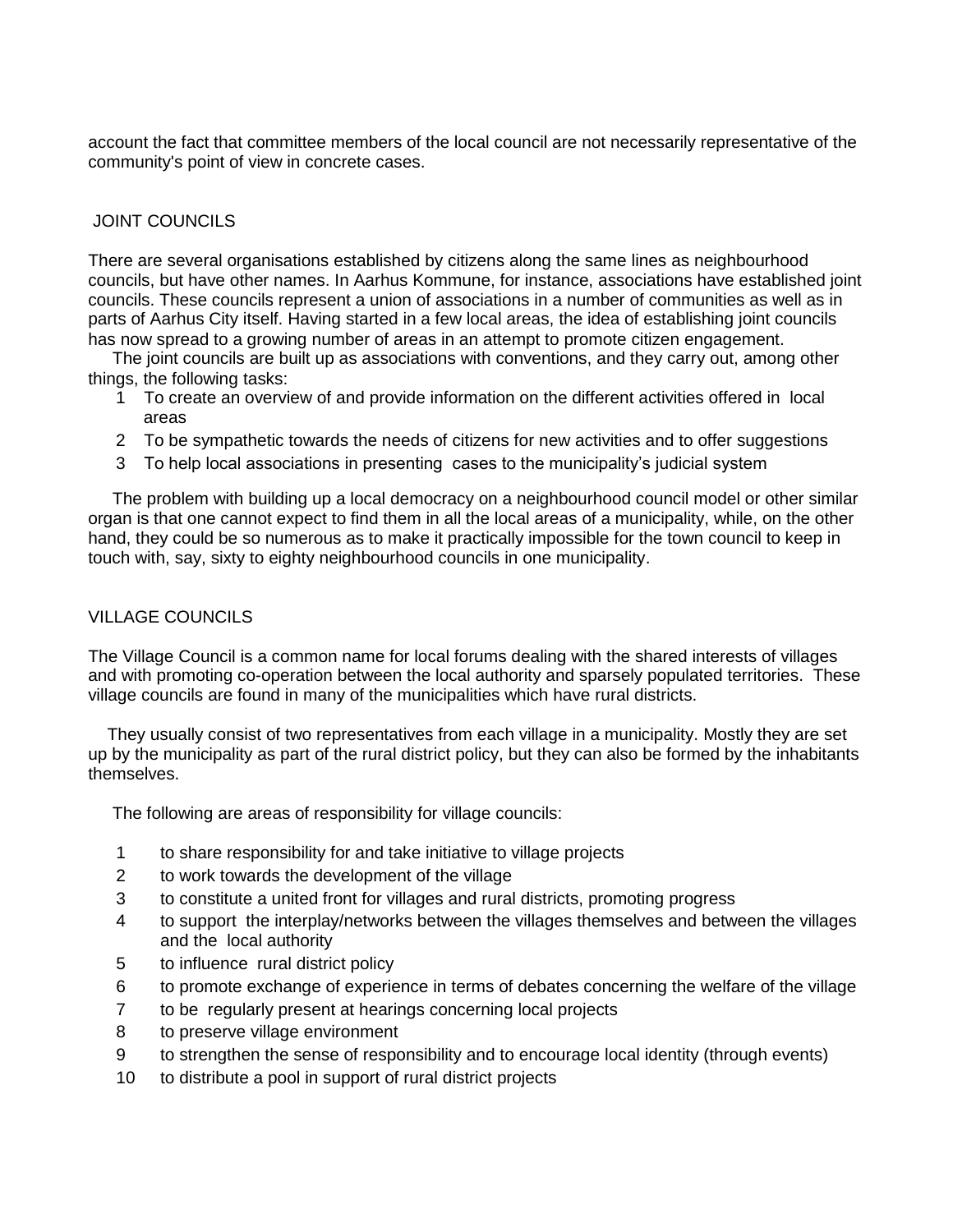account the fact that committee members of the local council are not necessarily representative of the community's point of view in concrete cases.

# JOINT COUNCILS

There are several organisations established by citizens along the same lines as neighbourhood councils, but have other names. In Aarhus Kommune, for instance, associations have established joint councils. These councils represent a union of associations in a number of communities as well as in parts of Aarhus City itself. Having started in a few local areas, the idea of establishing joint councils has now spread to a growing number of areas in an attempt to promote citizen engagement.

The joint councils are built up as associations with conventions, and they carry out, among other things, the following tasks:

- 1 To create an overview of and provide information on the different activities offered in local areas
- 2 To be sympathetic towards the needs of citizens for new activities and to offer suggestions
- 3 To help local associations in presenting cases to the municipality's judicial system

The problem with building up a local democracy on a neighbourhood council model or other similar organ is that one cannot expect to find them in all the local areas of a municipality, while, on the other hand, they could be so numerous as to make it practically impossible for the town council to keep in touch with, say, sixty to eighty neighbourhood councils in one municipality.

# VILLAGE COUNCILS

The Village Council is a common name for local forums dealing with the shared interests of villages and with promoting co-operation between the local authority and sparsely populated territories. These village councils are found in many of the municipalities which have rural districts.

 They usually consist of two representatives from each village in a municipality. Mostly they are set up by the municipality as part of the rural district policy, but they can also be formed by the inhabitants themselves.

The following are areas of responsibility for village councils:

- 1 to share responsibility for and take initiative to village projects
- 2 to work towards the development of the village
- 3 to constitute a united front for villages and rural districts, promoting progress
- 4 to support the interplay/networks between the villages themselves and between the villages and the local authority
- 5 to influence rural district policy
- 6 to promote exchange of experience in terms of debates concerning the welfare of the village
- 7 to be regularly present at hearings concerning local projects
- 8 to preserve village environment
- 9 to strengthen the sense of responsibility and to encourage local identity (through events)
- 10 to distribute a pool in support of rural district projects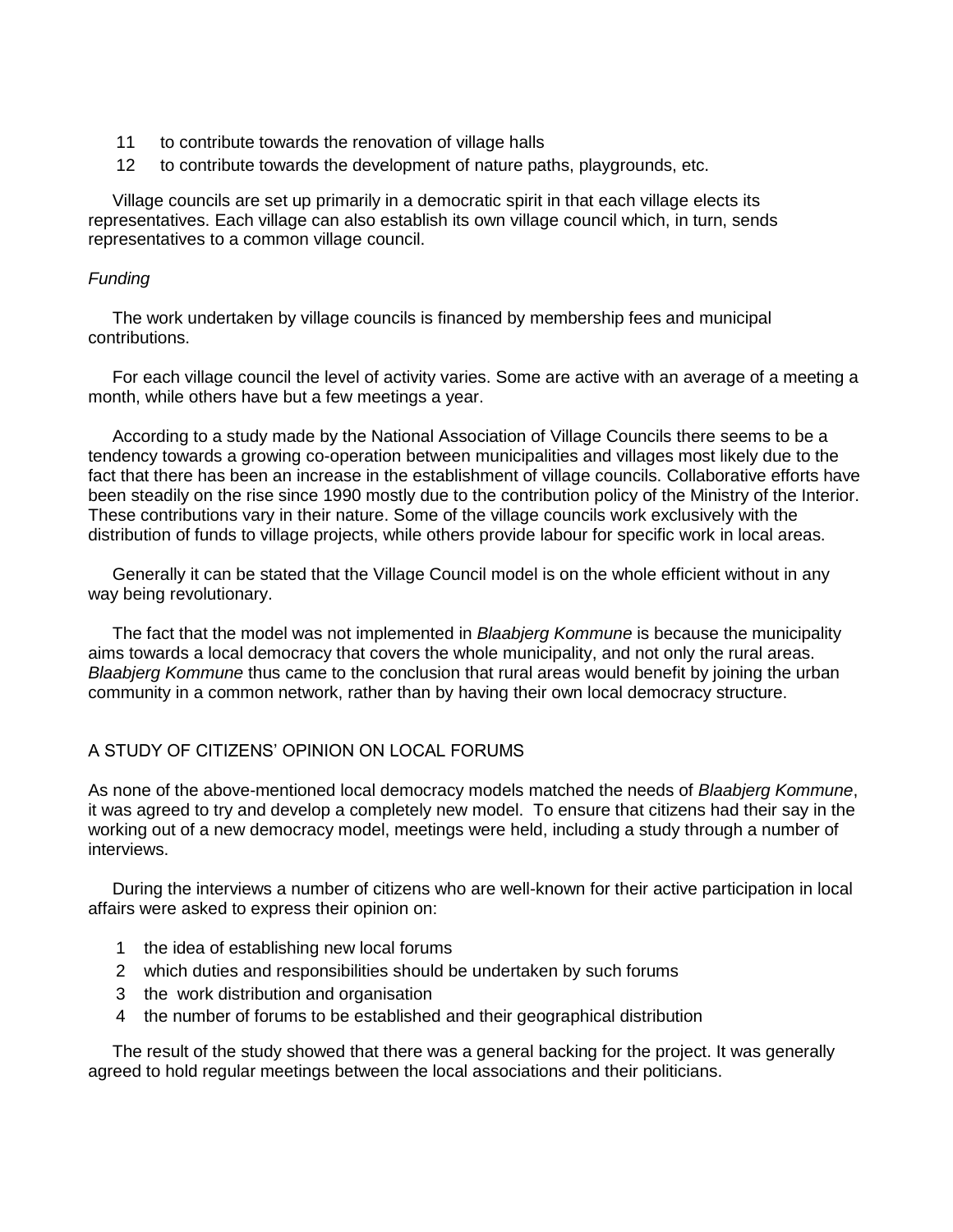- 11 to contribute towards the renovation of village halls
- 12 to contribute towards the development of nature paths, playgrounds, etc.

Village councils are set up primarily in a democratic spirit in that each village elects its representatives. Each village can also establish its own village council which, in turn, sends representatives to a common village council.

### *Funding*

The work undertaken by village councils is financed by membership fees and municipal contributions.

For each village council the level of activity varies. Some are active with an average of a meeting a month, while others have but a few meetings a year.

According to a study made by the National Association of Village Councils there seems to be a tendency towards a growing co-operation between municipalities and villages most likely due to the fact that there has been an increase in the establishment of village councils. Collaborative efforts have been steadily on the rise since 1990 mostly due to the contribution policy of the Ministry of the Interior. These contributions vary in their nature. Some of the village councils work exclusively with the distribution of funds to village projects, while others provide labour for specific work in local areas.

Generally it can be stated that the Village Council model is on the whole efficient without in any way being revolutionary.

The fact that the model was not implemented in *Blaabjerg Kommune* is because the municipality aims towards a local democracy that covers the whole municipality, and not only the rural areas. *Blaabjerg Kommune* thus came to the conclusion that rural areas would benefit by joining the urban community in a common network, rather than by having their own local democracy structure.

### A STUDY OF CITIZENS' OPINION ON LOCAL FORUMS

As none of the above-mentioned local democracy models matched the needs of *Blaabjerg Kommune*, it was agreed to try and develop a completely new model. To ensure that citizens had their say in the working out of a new democracy model, meetings were held, including a study through a number of interviews.

During the interviews a number of citizens who are well-known for their active participation in local affairs were asked to express their opinion on:

- 1 the idea of establishing new local forums
- 2 which duties and responsibilities should be undertaken by such forums
- 3 the work distribution and organisation
- 4 the number of forums to be established and their geographical distribution

The result of the study showed that there was a general backing for the project. It was generally agreed to hold regular meetings between the local associations and their politicians.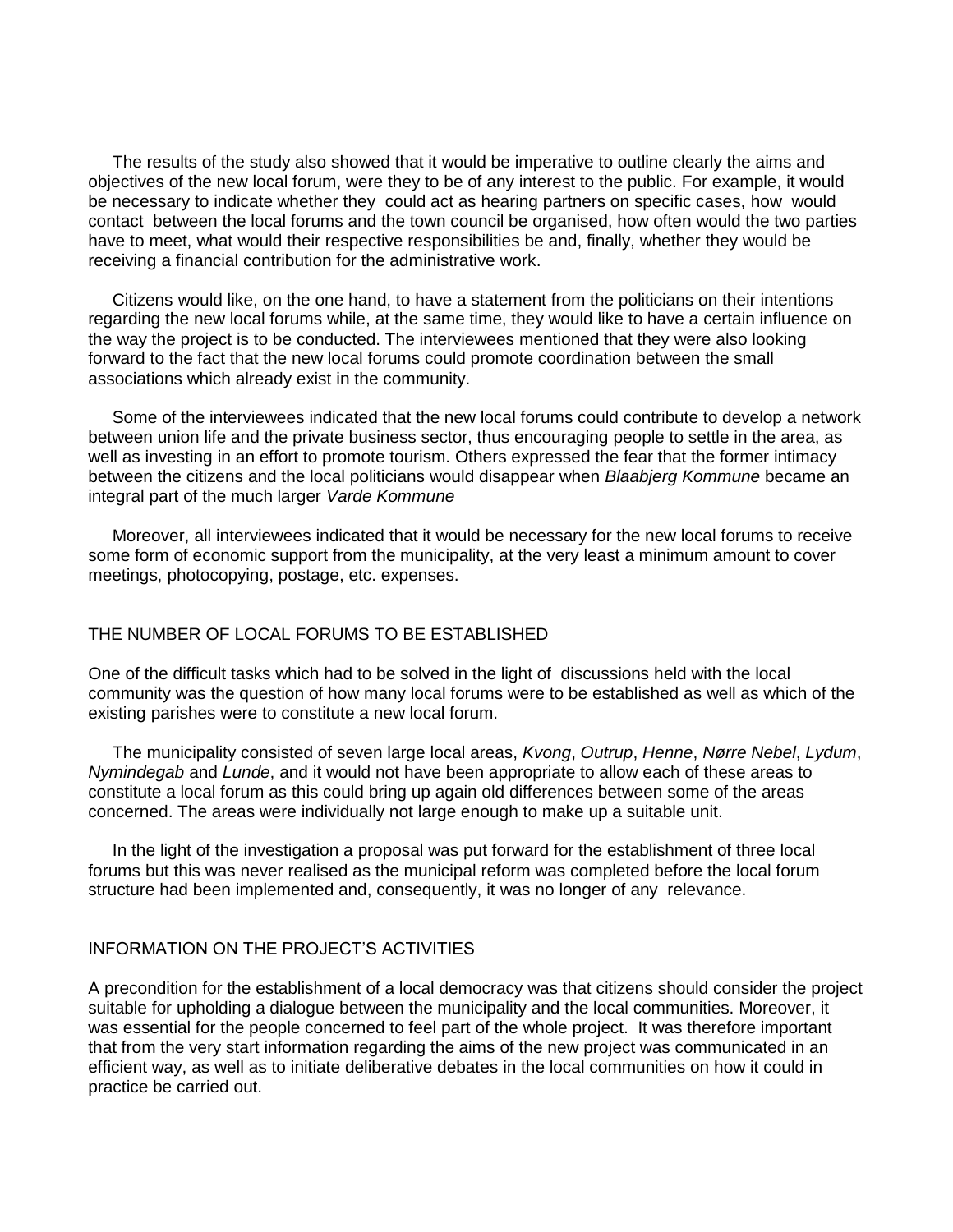The results of the study also showed that it would be imperative to outline clearly the aims and objectives of the new local forum, were they to be of any interest to the public. For example, it would be necessary to indicate whether they could act as hearing partners on specific cases, how would contact between the local forums and the town council be organised, how often would the two parties have to meet, what would their respective responsibilities be and, finally, whether they would be receiving a financial contribution for the administrative work.

Citizens would like, on the one hand, to have a statement from the politicians on their intentions regarding the new local forums while, at the same time, they would like to have a certain influence on the way the project is to be conducted. The interviewees mentioned that they were also looking forward to the fact that the new local forums could promote coordination between the small associations which already exist in the community.

Some of the interviewees indicated that the new local forums could contribute to develop a network between union life and the private business sector, thus encouraging people to settle in the area, as well as investing in an effort to promote tourism. Others expressed the fear that the former intimacy between the citizens and the local politicians would disappear when *Blaabjerg Kommune* became an integral part of the much larger *Varde Kommune*

Moreover, all interviewees indicated that it would be necessary for the new local forums to receive some form of economic support from the municipality, at the very least a minimum amount to cover meetings, photocopying, postage, etc. expenses.

# THE NUMBER OF LOCAL FORUMS TO BE ESTABLISHED

One of the difficult tasks which had to be solved in the light of discussions held with the local community was the question of how many local forums were to be established as well as which of the existing parishes were to constitute a new local forum.

The municipality consisted of seven large local areas, *Kvong*, *Outrup*, *Henne*, *Nørre Nebel*, *Lydum*, *Nymindegab* and *Lunde*, and it would not have been appropriate to allow each of these areas to constitute a local forum as this could bring up again old differences between some of the areas concerned. The areas were individually not large enough to make up a suitable unit.

In the light of the investigation a proposal was put forward for the establishment of three local forums but this was never realised as the municipal reform was completed before the local forum structure had been implemented and, consequently, it was no longer of any relevance.

# INFORMATION ON THE PROJECT'S ACTIVITIES

A precondition for the establishment of a local democracy was that citizens should consider the project suitable for upholding a dialogue between the municipality and the local communities. Moreover, it was essential for the people concerned to feel part of the whole project. It was therefore important that from the very start information regarding the aims of the new project was communicated in an efficient way, as well as to initiate deliberative debates in the local communities on how it could in practice be carried out.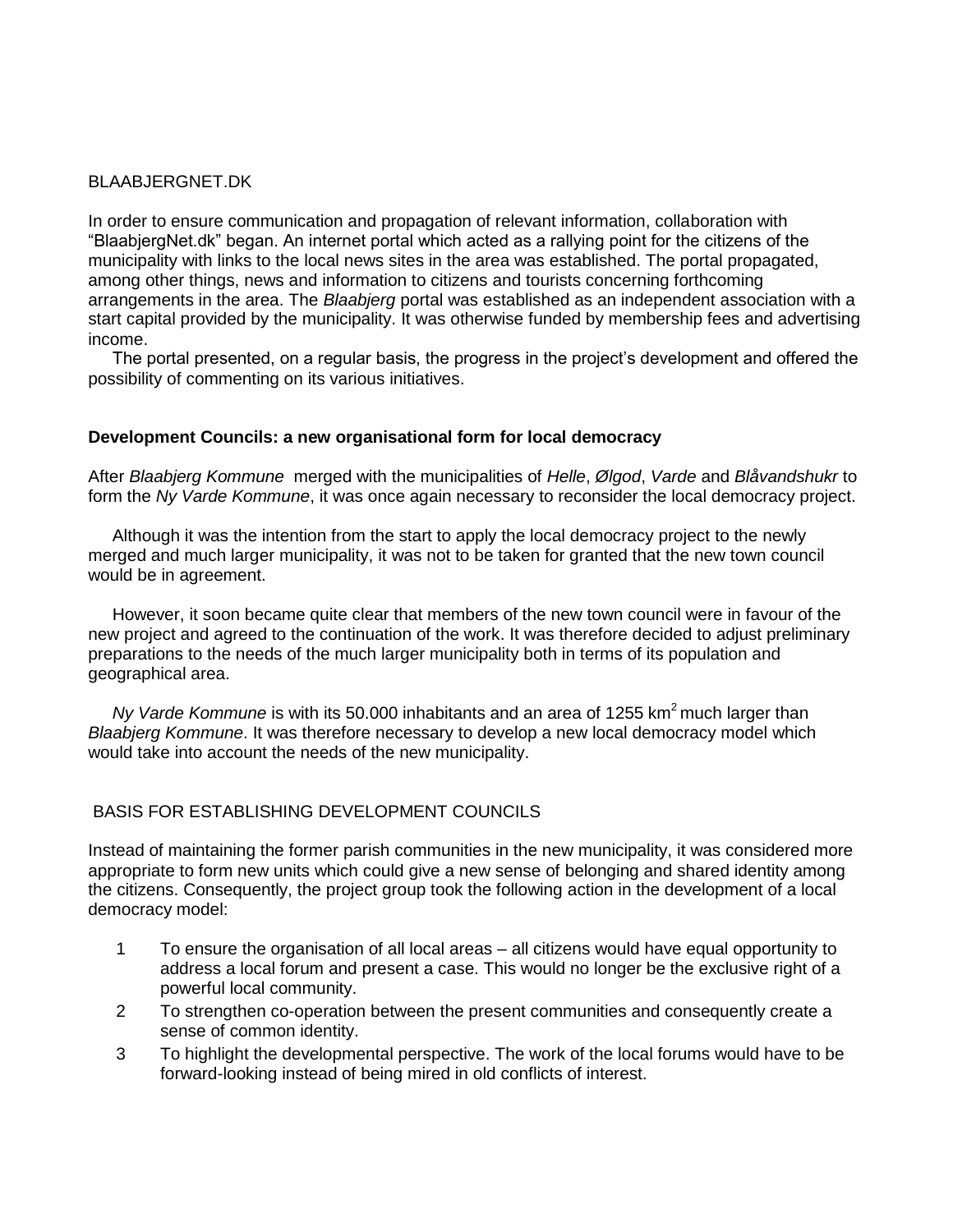## BLAABJERGNET.DK

In order to ensure communication and propagation of relevant information, collaboration with "BlaabjergNet.dk" began. An internet portal which acted as a rallying point for the citizens of the municipality with links to the local news sites in the area was established. The portal propagated, among other things, news and information to citizens and tourists concerning forthcoming arrangements in the area. The *Blaabjerg* portal was established as an independent association with a start capital provided by the municipality. It was otherwise funded by membership fees and advertising income.

The portal presented, on a regular basis, the progress in the project's development and offered the possibility of commenting on its various initiatives.

## **Development Councils: a new organisational form for local democracy**

After *Blaabjerg Kommune* merged with the municipalities of *Helle*, *Ølgod*, *Varde* and *Blåvandshukr* to form the *Ny Varde Kommune*, it was once again necessary to reconsider the local democracy project.

Although it was the intention from the start to apply the local democracy project to the newly merged and much larger municipality, it was not to be taken for granted that the new town council would be in agreement.

However, it soon became quite clear that members of the new town council were in favour of the new project and agreed to the continuation of the work. It was therefore decided to adjust preliminary preparations to the needs of the much larger municipality both in terms of its population and geographical area.

*Ny Varde Kommune* is with its 50.000 inhabitants and an area of 1255 km<sup>2</sup> much larger than *Blaabjerg Kommune*. It was therefore necessary to develop a new local democracy model which would take into account the needs of the new municipality.

# BASIS FOR ESTABLISHING DEVELOPMENT COUNCILS

Instead of maintaining the former parish communities in the new municipality, it was considered more appropriate to form new units which could give a new sense of belonging and shared identity among the citizens. Consequently, the project group took the following action in the development of a local democracy model:

- 1 To ensure the organisation of all local areas all citizens would have equal opportunity to address a local forum and present a case. This would no longer be the exclusive right of a powerful local community.
- 2 To strengthen co-operation between the present communities and consequently create a sense of common identity.
- 3 To highlight the developmental perspective. The work of the local forums would have to be forward-looking instead of being mired in old conflicts of interest.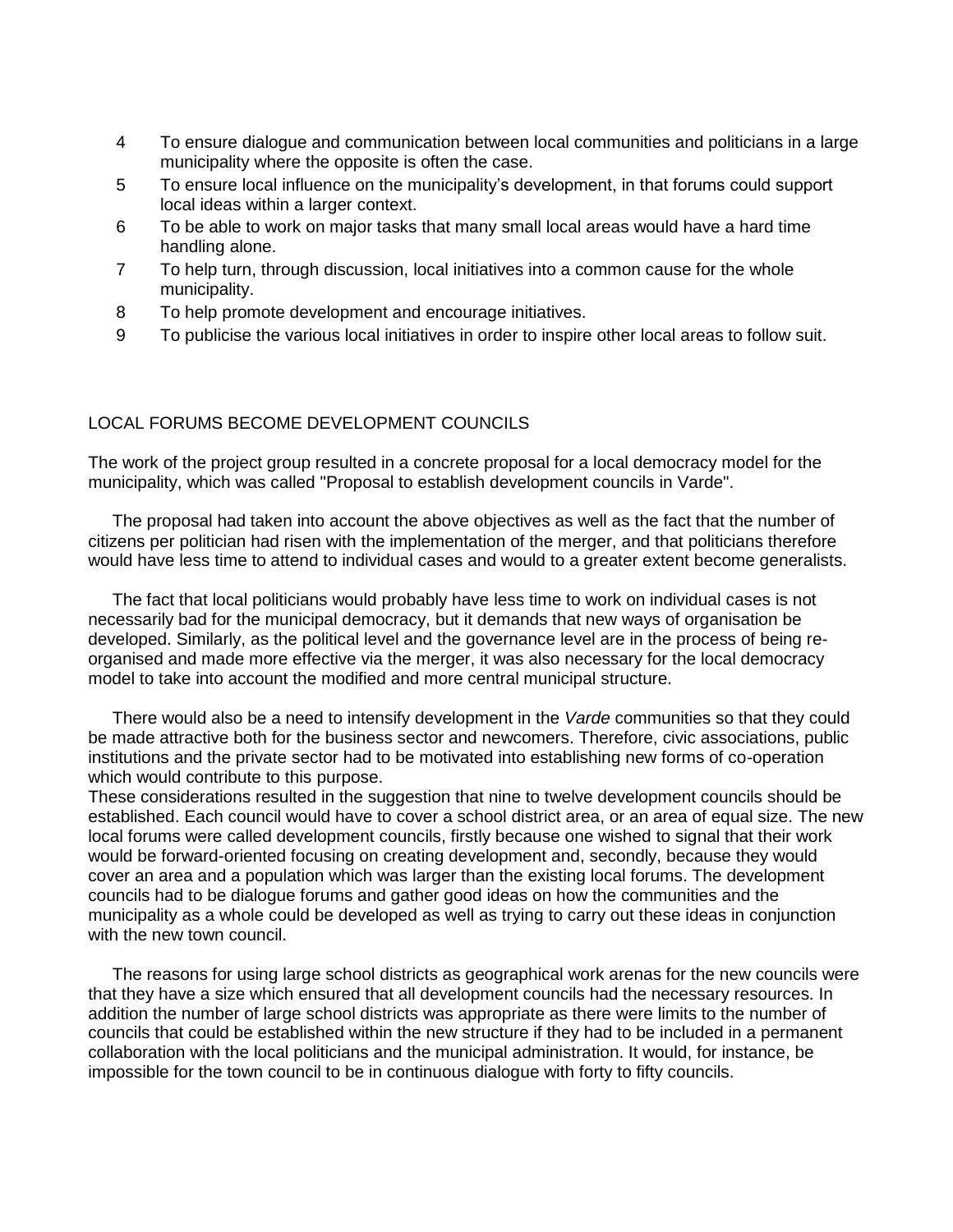- 4 To ensure dialogue and communication between local communities and politicians in a large municipality where the opposite is often the case.
- 5 To ensure local influence on the municipality's development, in that forums could support local ideas within a larger context.
- 6 To be able to work on major tasks that many small local areas would have a hard time handling alone.
- 7 To help turn, through discussion, local initiatives into a common cause for the whole municipality.
- 8 To help promote development and encourage initiatives.
- 9 To publicise the various local initiatives in order to inspire other local areas to follow suit.

### LOCAL FORUMS BECOME DEVELOPMENT COUNCILS

The work of the project group resulted in a concrete proposal for a local democracy model for the municipality, which was called "Proposal to establish development councils in Varde".

The proposal had taken into account the above objectives as well as the fact that the number of citizens per politician had risen with the implementation of the merger, and that politicians therefore would have less time to attend to individual cases and would to a greater extent become generalists.

The fact that local politicians would probably have less time to work on individual cases is not necessarily bad for the municipal democracy, but it demands that new ways of organisation be developed. Similarly, as the political level and the governance level are in the process of being reorganised and made more effective via the merger, it was also necessary for the local democracy model to take into account the modified and more central municipal structure.

There would also be a need to intensify development in the *Varde* communities so that they could be made attractive both for the business sector and newcomers. Therefore, civic associations, public institutions and the private sector had to be motivated into establishing new forms of co-operation which would contribute to this purpose.

These considerations resulted in the suggestion that nine to twelve development councils should be established. Each council would have to cover a school district area, or an area of equal size. The new local forums were called development councils, firstly because one wished to signal that their work would be forward-oriented focusing on creating development and, secondly, because they would cover an area and a population which was larger than the existing local forums. The development councils had to be dialogue forums and gather good ideas on how the communities and the municipality as a whole could be developed as well as trying to carry out these ideas in conjunction with the new town council.

The reasons for using large school districts as geographical work arenas for the new councils were that they have a size which ensured that all development councils had the necessary resources. In addition the number of large school districts was appropriate as there were limits to the number of councils that could be established within the new structure if they had to be included in a permanent collaboration with the local politicians and the municipal administration. It would, for instance, be impossible for the town council to be in continuous dialogue with forty to fifty councils.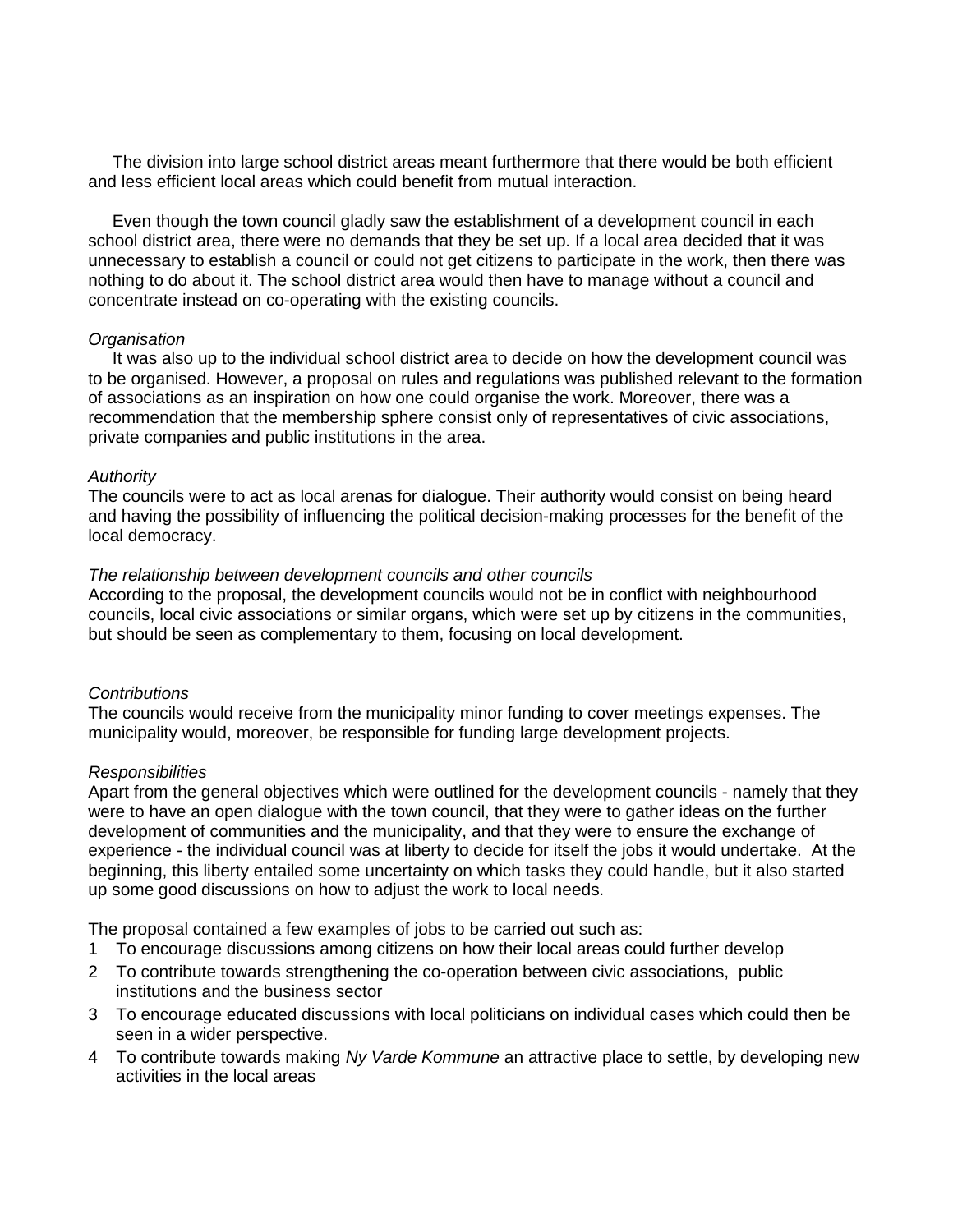The division into large school district areas meant furthermore that there would be both efficient and less efficient local areas which could benefit from mutual interaction.

Even though the town council gladly saw the establishment of a development council in each school district area, there were no demands that they be set up. If a local area decided that it was unnecessary to establish a council or could not get citizens to participate in the work, then there was nothing to do about it. The school district area would then have to manage without a council and concentrate instead on co-operating with the existing councils.

#### *Organisation*

It was also up to the individual school district area to decide on how the development council was to be organised. However, a proposal on rules and regulations was published relevant to the formation of associations as an inspiration on how one could organise the work. Moreover, there was a recommendation that the membership sphere consist only of representatives of civic associations, private companies and public institutions in the area.

#### *Authority*

The councils were to act as local arenas for dialogue. Their authority would consist on being heard and having the possibility of influencing the political decision-making processes for the benefit of the local democracy.

#### *The relationship between development councils and other councils*

According to the proposal, the development councils would not be in conflict with neighbourhood councils, local civic associations or similar organs, which were set up by citizens in the communities, but should be seen as complementary to them, focusing on local development.

### *Contributions*

The councils would receive from the municipality minor funding to cover meetings expenses. The municipality would, moreover, be responsible for funding large development projects.

#### *Responsibilities*

Apart from the general objectives which were outlined for the development councils - namely that they were to have an open dialogue with the town council, that they were to gather ideas on the further development of communities and the municipality, and that they were to ensure the exchange of experience - the individual council was at liberty to decide for itself the jobs it would undertake. At the beginning, this liberty entailed some uncertainty on which tasks they could handle, but it also started up some good discussions on how to adjust the work to local needs.

The proposal contained a few examples of jobs to be carried out such as:

- 1 To encourage discussions among citizens on how their local areas could further develop
- 2 To contribute towards strengthening the co-operation between civic associations, public institutions and the business sector
- 3 To encourage educated discussions with local politicians on individual cases which could then be seen in a wider perspective.
- 4 To contribute towards making *Ny Varde Kommune* an attractive place to settle, by developing new activities in the local areas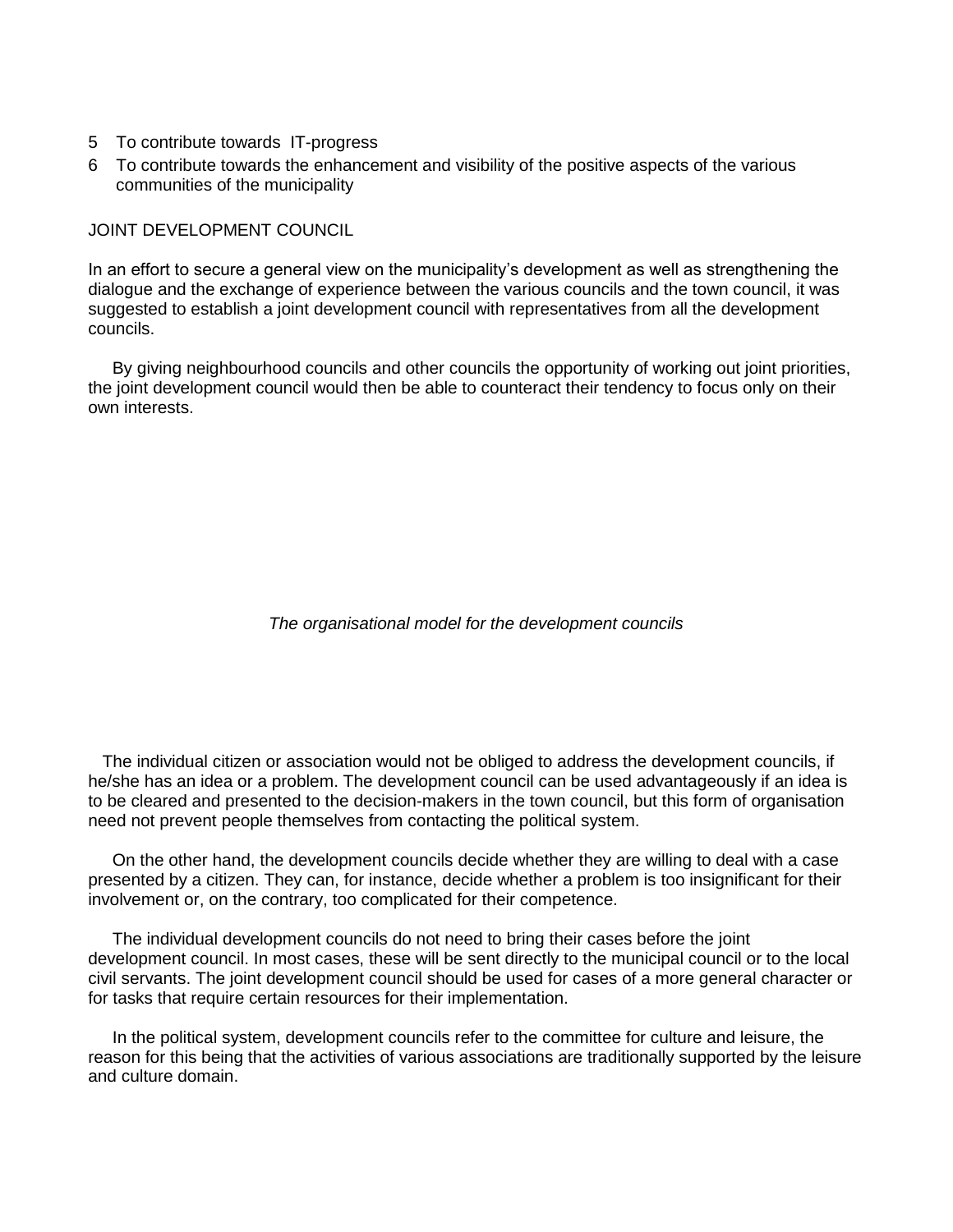- 5 To contribute towards IT-progress
- 6 To contribute towards the enhancement and visibility of the positive aspects of the various communities of the municipality

JOINT DEVELOPMENT COUNCIL

In an effort to secure a general view on the municipality's development as well as strengthening the dialogue and the exchange of experience between the various councils and the town council, it was suggested to establish a joint development council with representatives from all the development councils.

By giving neighbourhood councils and other councils the opportunity of working out joint priorities, the joint development council would then be able to counteract their tendency to focus only on their own interests.

*The organisational model for the development councils*

 The individual citizen or association would not be obliged to address the development councils, if he/she has an idea or a problem. The development council can be used advantageously if an idea is to be cleared and presented to the decision-makers in the town council, but this form of organisation need not prevent people themselves from contacting the political system.

On the other hand, the development councils decide whether they are willing to deal with a case presented by a citizen. They can, for instance, decide whether a problem is too insignificant for their involvement or, on the contrary, too complicated for their competence.

The individual development councils do not need to bring their cases before the joint development council. In most cases, these will be sent directly to the municipal council or to the local civil servants. The joint development council should be used for cases of a more general character or for tasks that require certain resources for their implementation.

In the political system, development councils refer to the committee for culture and leisure, the reason for this being that the activities of various associations are traditionally supported by the leisure and culture domain.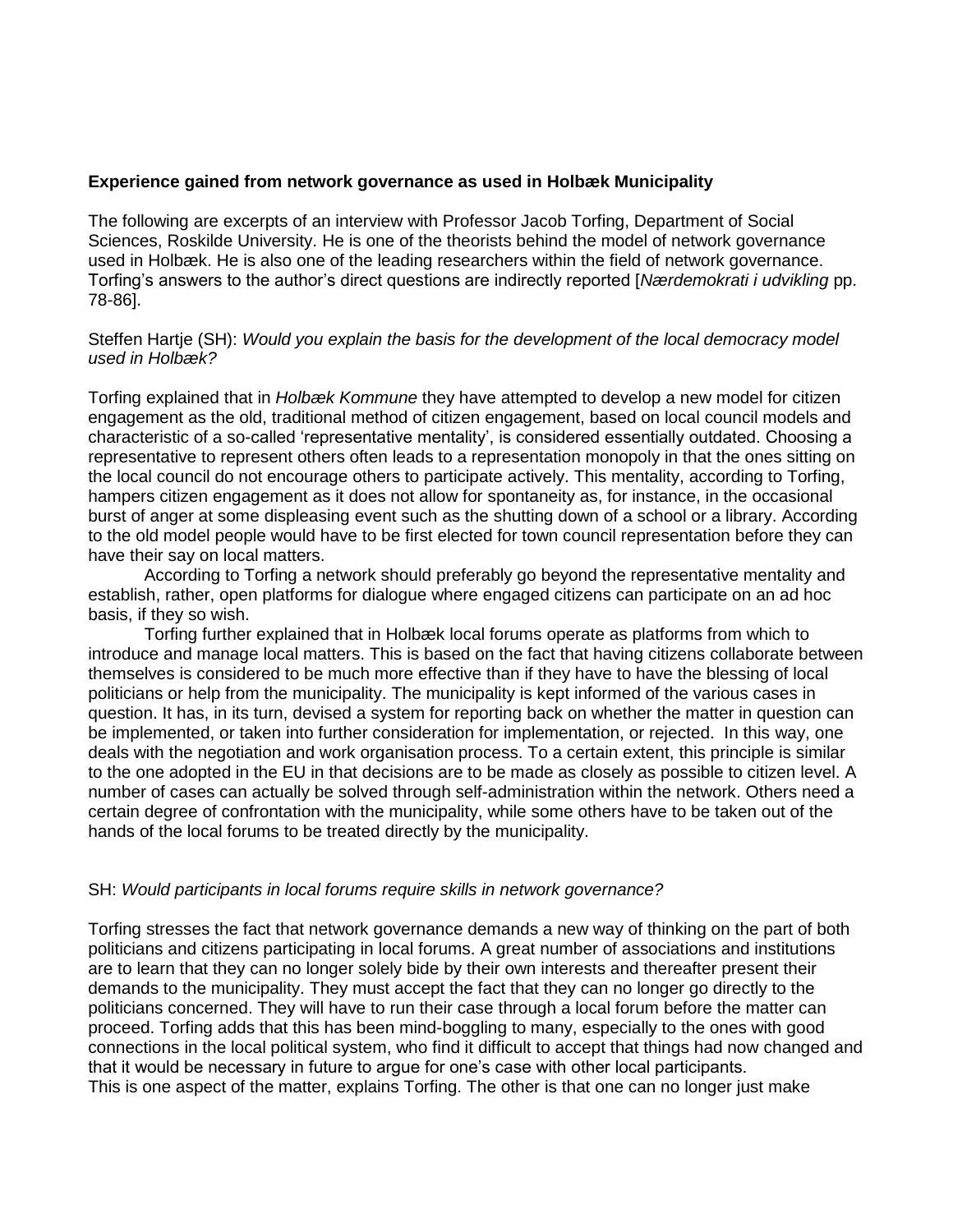### **Experience gained from network governance as used in Holbæk Municipality**

The following are excerpts of an interview with Professor Jacob Torfing, Department of Social Sciences, Roskilde University. He is one of the theorists behind the model of network governance used in Holbæk. He is also one of the leading researchers within the field of network governance. Torfing's answers to the author's direct questions are indirectly reported [*Nærdemokrati i udvikling* pp. 78-86].

### Steffen Hartje (SH): *Would you explain the basis for the development of the local democracy model used in Holbæk?*

Torfing explained that in *Holbæk Kommune* they have attempted to develop a new model for citizen engagement as the old, traditional method of citizen engagement, based on local council models and characteristic of a so-called 'representative mentality', is considered essentially outdated. Choosing a representative to represent others often leads to a representation monopoly in that the ones sitting on the local council do not encourage others to participate actively. This mentality, according to Torfing, hampers citizen engagement as it does not allow for spontaneity as, for instance, in the occasional burst of anger at some displeasing event such as the shutting down of a school or a library. According to the old model people would have to be first elected for town council representation before they can have their say on local matters.

According to Torfing a network should preferably go beyond the representative mentality and establish, rather, open platforms for dialogue where engaged citizens can participate on an ad hoc basis, if they so wish.

Torfing further explained that in Holbæk local forums operate as platforms from which to introduce and manage local matters. This is based on the fact that having citizens collaborate between themselves is considered to be much more effective than if they have to have the blessing of local politicians or help from the municipality. The municipality is kept informed of the various cases in question. It has, in its turn, devised a system for reporting back on whether the matter in question can be implemented, or taken into further consideration for implementation, or rejected. In this way, one deals with the negotiation and work organisation process. To a certain extent, this principle is similar to the one adopted in the EU in that decisions are to be made as closely as possible to citizen level. A number of cases can actually be solved through self-administration within the network. Others need a certain degree of confrontation with the municipality, while some others have to be taken out of the hands of the local forums to be treated directly by the municipality.

### SH: *Would participants in local forums require skills in network governance?*

Torfing stresses the fact that network governance demands a new way of thinking on the part of both politicians and citizens participating in local forums. A great number of associations and institutions are to learn that they can no longer solely bide by their own interests and thereafter present their demands to the municipality. They must accept the fact that they can no longer go directly to the politicians concerned. They will have to run their case through a local forum before the matter can proceed. Torfing adds that this has been mind-boggling to many, especially to the ones with good connections in the local political system, who find it difficult to accept that things had now changed and that it would be necessary in future to argue for one's case with other local participants. This is one aspect of the matter, explains Torfing. The other is that one can no longer just make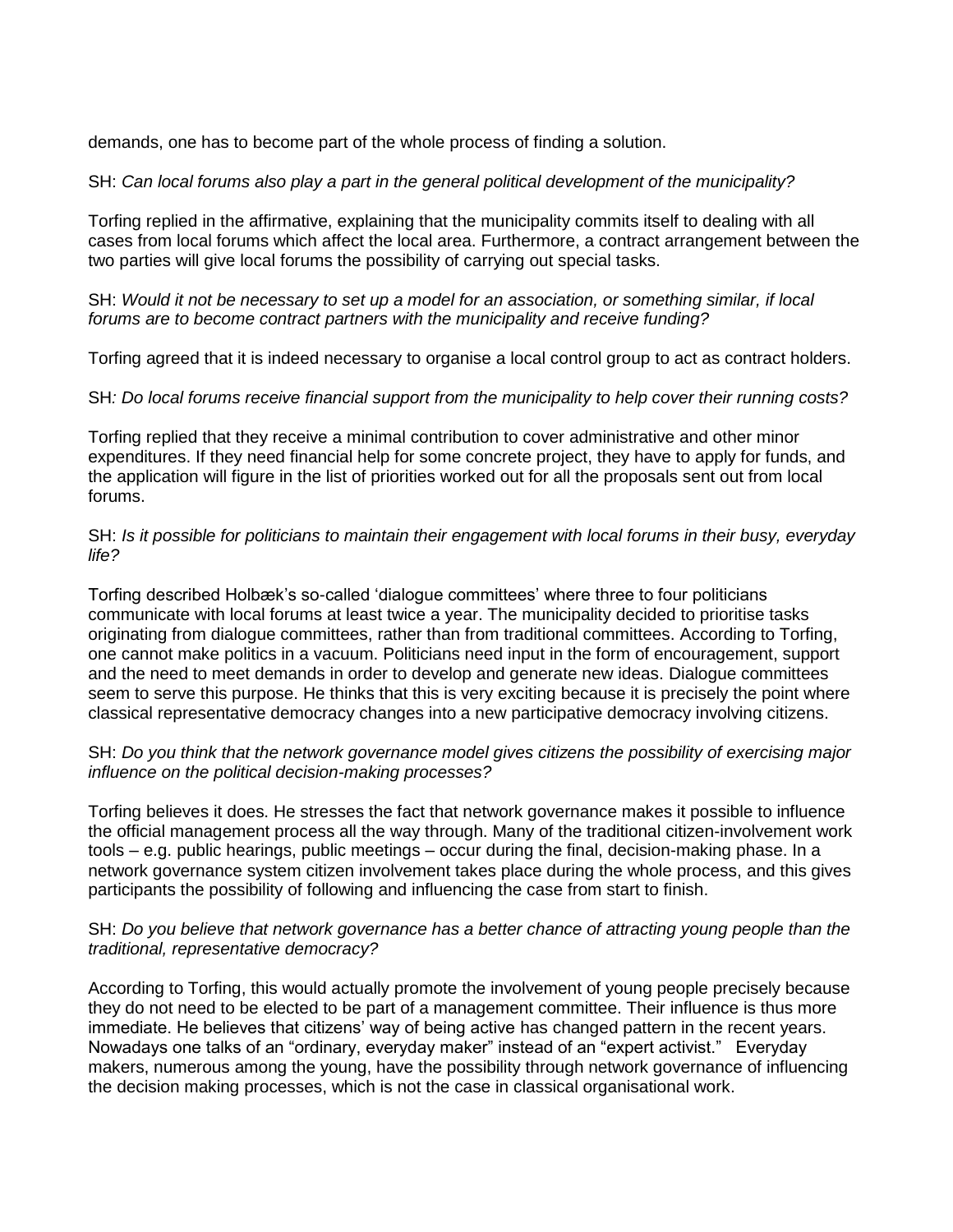demands, one has to become part of the whole process of finding a solution.

# SH: *Can local forums also play a part in the general political development of the municipality?*

Torfing replied in the affirmative, explaining that the municipality commits itself to dealing with all cases from local forums which affect the local area. Furthermore, a contract arrangement between the two parties will give local forums the possibility of carrying out special tasks.

SH: *Would it not be necessary to set up a model for an association, or something similar, if local forums are to become contract partners with the municipality and receive funding?*

Torfing agreed that it is indeed necessary to organise a local control group to act as contract holders.

SH*: Do local forums receive financial support from the municipality to help cover their running costs?*

Torfing replied that they receive a minimal contribution to cover administrative and other minor expenditures. If they need financial help for some concrete project, they have to apply for funds, and the application will figure in the list of priorities worked out for all the proposals sent out from local forums.

# SH: *Is it possible for politicians to maintain their engagement with local forums in their busy, everyday life?*

Torfing described Holbæk's so-called 'dialogue committees' where three to four politicians communicate with local forums at least twice a year. The municipality decided to prioritise tasks originating from dialogue committees, rather than from traditional committees. According to Torfing, one cannot make politics in a vacuum. Politicians need input in the form of encouragement, support and the need to meet demands in order to develop and generate new ideas. Dialogue committees seem to serve this purpose. He thinks that this is very exciting because it is precisely the point where classical representative democracy changes into a new participative democracy involving citizens.

## SH: *Do you think that the network governance model gives citizens the possibility of exercising major influence on the political decision-making processes?*

Torfing believes it does. He stresses the fact that network governance makes it possible to influence the official management process all the way through. Many of the traditional citizen-involvement work tools – e.g. public hearings, public meetings – occur during the final, decision-making phase. In a network governance system citizen involvement takes place during the whole process, and this gives participants the possibility of following and influencing the case from start to finish.

# SH: *Do you believe that network governance has a better chance of attracting young people than the traditional, representative democracy?*

According to Torfing, this would actually promote the involvement of young people precisely because they do not need to be elected to be part of a management committee. Their influence is thus more immediate. He believes that citizens' way of being active has changed pattern in the recent years. Nowadays one talks of an "ordinary, everyday maker" instead of an "expert activist." Everyday makers, numerous among the young, have the possibility through network governance of influencing the decision making processes, which is not the case in classical organisational work.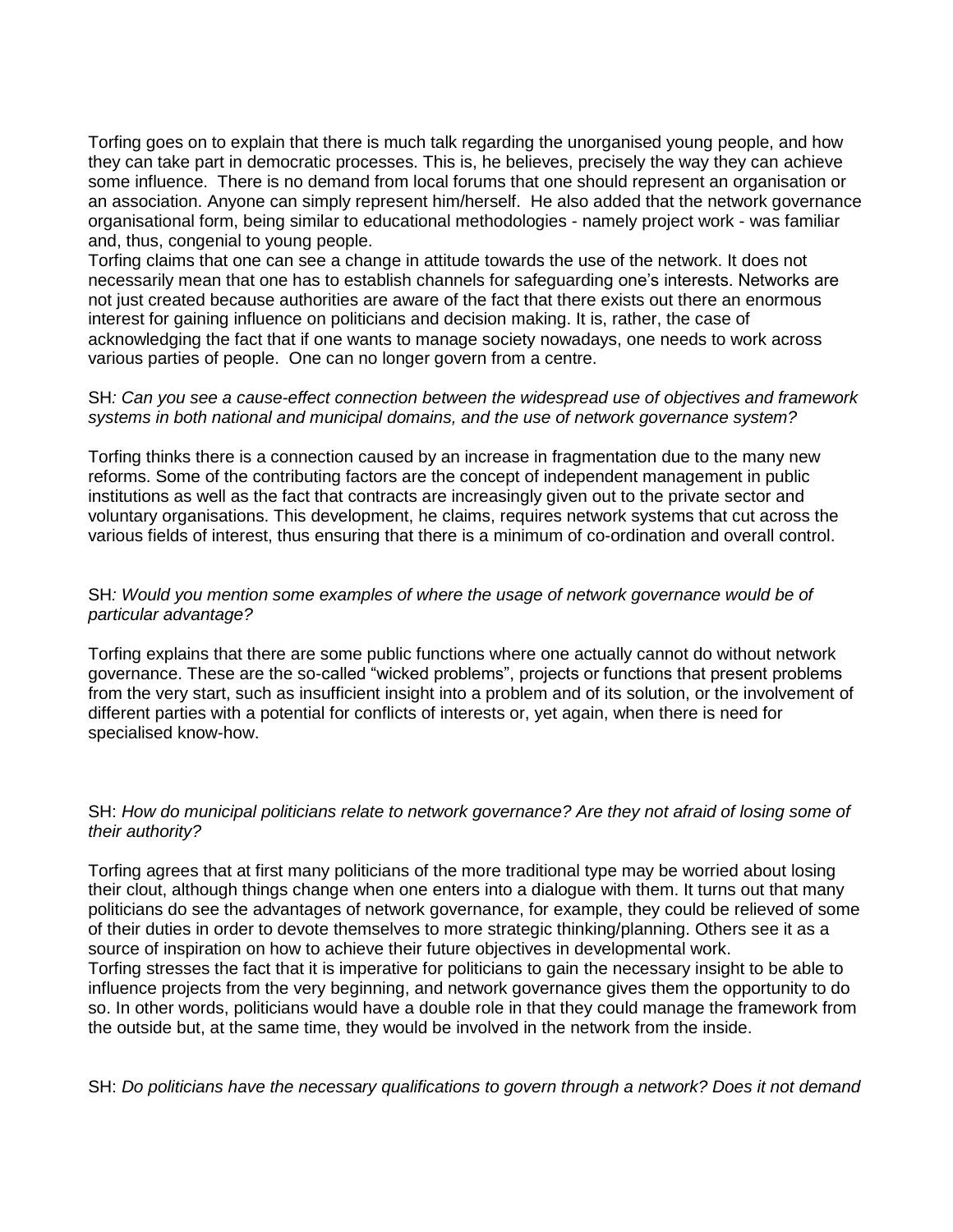Torfing goes on to explain that there is much talk regarding the unorganised young people, and how they can take part in democratic processes. This is, he believes, precisely the way they can achieve some influence. There is no demand from local forums that one should represent an organisation or an association. Anyone can simply represent him/herself. He also added that the network governance organisational form, being similar to educational methodologies - namely project work - was familiar and, thus, congenial to young people.

Torfing claims that one can see a change in attitude towards the use of the network. It does not necessarily mean that one has to establish channels for safeguarding one's interests. Networks are not just created because authorities are aware of the fact that there exists out there an enormous interest for gaining influence on politicians and decision making. It is, rather, the case of acknowledging the fact that if one wants to manage society nowadays, one needs to work across various parties of people. One can no longer govern from a centre.

## SH*: Can you see a cause-effect connection between the widespread use of objectives and framework systems in both national and municipal domains, and the use of network governance system?*

Torfing thinks there is a connection caused by an increase in fragmentation due to the many new reforms. Some of the contributing factors are the concept of independent management in public institutions as well as the fact that contracts are increasingly given out to the private sector and voluntary organisations. This development, he claims, requires network systems that cut across the various fields of interest, thus ensuring that there is a minimum of co-ordination and overall control.

# SH*: Would you mention some examples of where the usage of network governance would be of particular advantage?*

Torfing explains that there are some public functions where one actually cannot do without network governance. These are the so-called "wicked problems", projects or functions that present problems from the very start, such as insufficient insight into a problem and of its solution, or the involvement of different parties with a potential for conflicts of interests or, yet again, when there is need for specialised know-how.

## SH: *How do municipal politicians relate to network governance? Are they not afraid of losing some of their authority?*

Torfing agrees that at first many politicians of the more traditional type may be worried about losing their clout, although things change when one enters into a dialogue with them. It turns out that many politicians do see the advantages of network governance, for example, they could be relieved of some of their duties in order to devote themselves to more strategic thinking/planning. Others see it as a source of inspiration on how to achieve their future objectives in developmental work. Torfing stresses the fact that it is imperative for politicians to gain the necessary insight to be able to influence projects from the very beginning, and network governance gives them the opportunity to do so. In other words, politicians would have a double role in that they could manage the framework from the outside but, at the same time, they would be involved in the network from the inside.

SH: *Do politicians have the necessary qualifications to govern through a network? Does it not demand*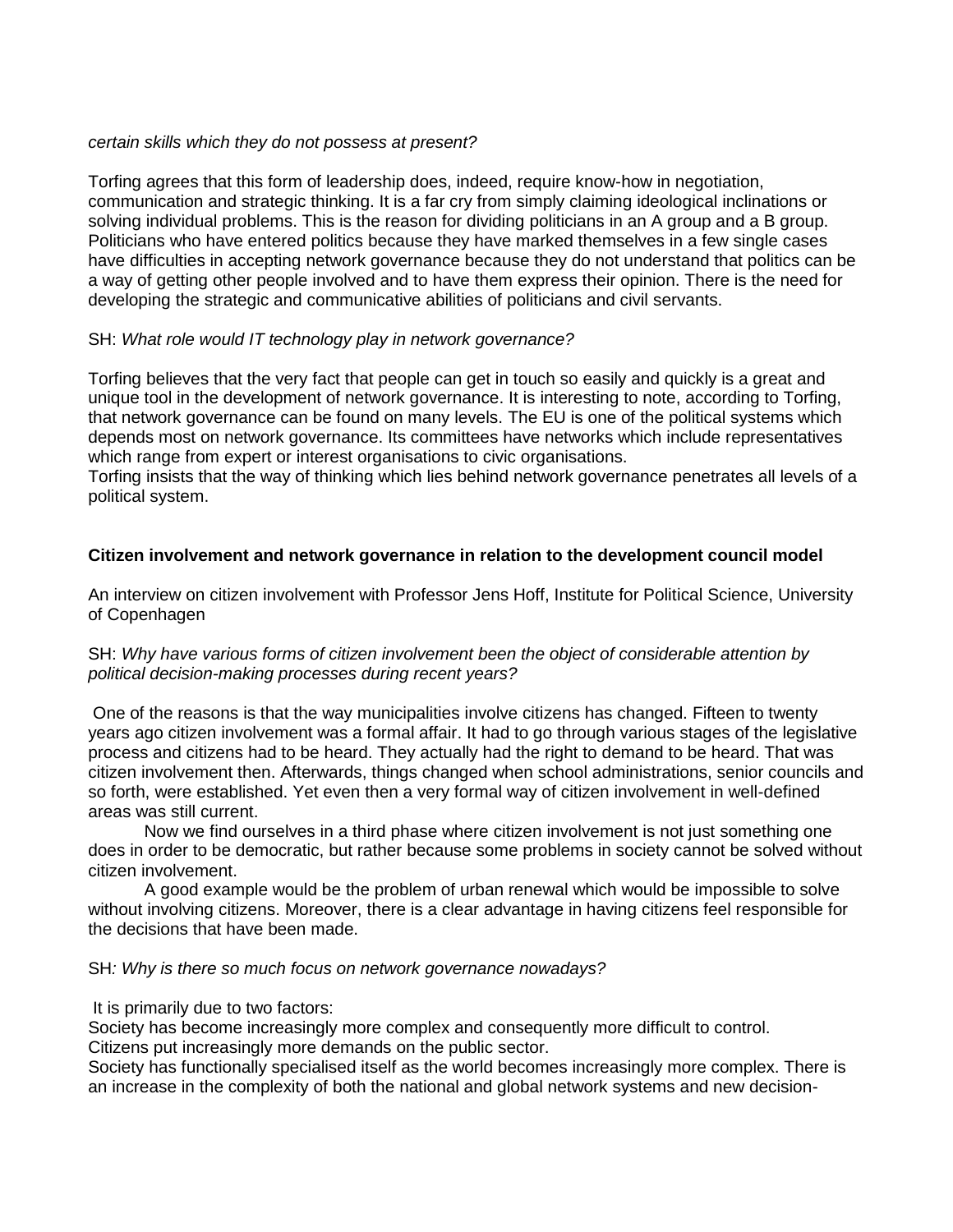### *certain skills which they do not possess at present?*

Torfing agrees that this form of leadership does, indeed, require know-how in negotiation, communication and strategic thinking. It is a far cry from simply claiming ideological inclinations or solving individual problems. This is the reason for dividing politicians in an A group and a B group. Politicians who have entered politics because they have marked themselves in a few single cases have difficulties in accepting network governance because they do not understand that politics can be a way of getting other people involved and to have them express their opinion. There is the need for developing the strategic and communicative abilities of politicians and civil servants.

# SH: *What role would IT technology play in network governance?*

Torfing believes that the very fact that people can get in touch so easily and quickly is a great and unique tool in the development of network governance. It is interesting to note, according to Torfing, that network governance can be found on many levels. The EU is one of the political systems which depends most on network governance. Its committees have networks which include representatives which range from expert or interest organisations to civic organisations.

Torfing insists that the way of thinking which lies behind network governance penetrates all levels of a political system.

# **Citizen involvement and network governance in relation to the development council model**

An interview on citizen involvement with Professor Jens Hoff, Institute for Political Science, University of Copenhagen

## SH: *Why have various forms of citizen involvement been the object of considerable attention by political decision-making processes during recent years?*

One of the reasons is that the way municipalities involve citizens has changed. Fifteen to twenty years ago citizen involvement was a formal affair. It had to go through various stages of the legislative process and citizens had to be heard. They actually had the right to demand to be heard. That was citizen involvement then. Afterwards, things changed when school administrations, senior councils and so forth, were established. Yet even then a very formal way of citizen involvement in well-defined areas was still current.

Now we find ourselves in a third phase where citizen involvement is not just something one does in order to be democratic, but rather because some problems in society cannot be solved without citizen involvement.

A good example would be the problem of urban renewal which would be impossible to solve without involving citizens. Moreover, there is a clear advantage in having citizens feel responsible for the decisions that have been made.

# SH*: Why is there so much focus on network governance nowadays?*

It is primarily due to two factors:

Society has become increasingly more complex and consequently more difficult to control. Citizens put increasingly more demands on the public sector.

Society has functionally specialised itself as the world becomes increasingly more complex. There is an increase in the complexity of both the national and global network systems and new decision